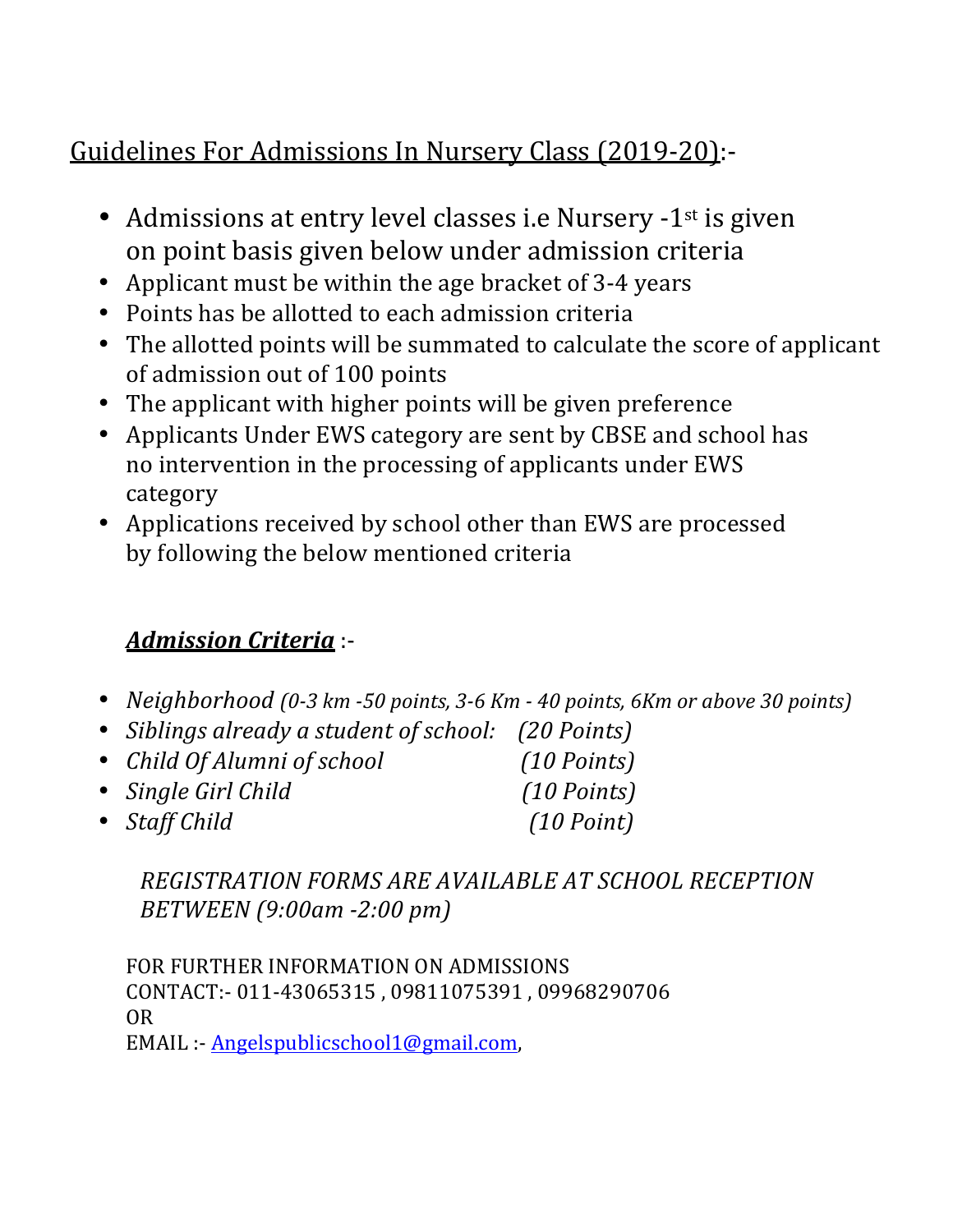## Guidelines For Admissions In Nursery Class (2019-20):-

- Admissions at entry level classes i.e Nursery -1<sup>st</sup> is given on point basis given below under admission criteria
- Applicant must be within the age bracket of 3-4 years
- Points has be allotted to each admission criteria
- The allotted points will be summated to calculate the score of applicant of admission out of 100 points
- The applicant with higher points will be given preference
- Applicants Under EWS category are sent by CBSE and school has no intervention in the processing of applicants under EWS category
- Applications received by school other than EWS are processed by following the below mentioned criteria

## *Admission Criteria* :-

- *Neighborhood* (0-3 km -50 points, 3-6 Km 40 points, 6Km or above 30 points)
- *Siblings already a student of school: (20 Points)*
- *Child Of Alumni of school* (10 Points)
- *Single Girl Child (10 Points)*
- 
- *Staff Child* (10 Point)

*REGISTRATION FORMS ARE AVAILABLE AT SCHOOL RECEPTION BETWEEN (9:00am -2:00 pm)*

FOR FURTHER INFORMATION ON ADMISSIONS CONTACT:- 011-43065315, 09811075391, 09968290706 OR EMAIL :- Angelspublicschool1@gmail.com,